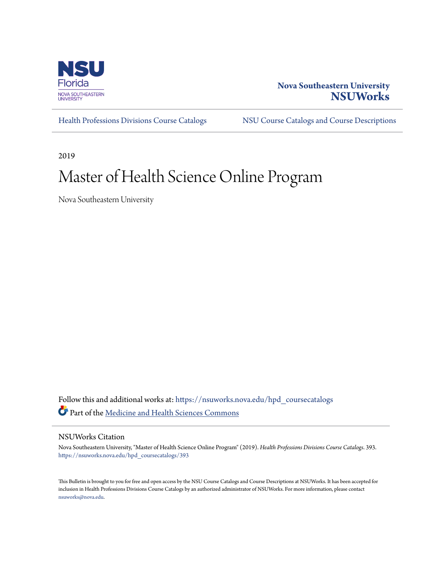

### **Nova Southeastern University [NSUWorks](https://nsuworks.nova.edu?utm_source=nsuworks.nova.edu%2Fhpd_coursecatalogs%2F393&utm_medium=PDF&utm_campaign=PDFCoverPages)**

[Health Professions Divisions Course Catalogs](https://nsuworks.nova.edu/hpd_coursecatalogs?utm_source=nsuworks.nova.edu%2Fhpd_coursecatalogs%2F393&utm_medium=PDF&utm_campaign=PDFCoverPages) [NSU Course Catalogs and Course Descriptions](https://nsuworks.nova.edu/nsu_catalogs?utm_source=nsuworks.nova.edu%2Fhpd_coursecatalogs%2F393&utm_medium=PDF&utm_campaign=PDFCoverPages)

2019

## Master of Health Science Online Program

Nova Southeastern University

Follow this and additional works at: [https://nsuworks.nova.edu/hpd\\_coursecatalogs](https://nsuworks.nova.edu/hpd_coursecatalogs?utm_source=nsuworks.nova.edu%2Fhpd_coursecatalogs%2F393&utm_medium=PDF&utm_campaign=PDFCoverPages) Part of the [Medicine and Health Sciences Commons](http://network.bepress.com/hgg/discipline/648?utm_source=nsuworks.nova.edu%2Fhpd_coursecatalogs%2F393&utm_medium=PDF&utm_campaign=PDFCoverPages)

### NSUWorks Citation

Nova Southeastern University, "Master of Health Science Online Program" (2019). *Health Professions Divisions Course Catalogs*. 393. [https://nsuworks.nova.edu/hpd\\_coursecatalogs/393](https://nsuworks.nova.edu/hpd_coursecatalogs/393?utm_source=nsuworks.nova.edu%2Fhpd_coursecatalogs%2F393&utm_medium=PDF&utm_campaign=PDFCoverPages)

This Bulletin is brought to you for free and open access by the NSU Course Catalogs and Course Descriptions at NSUWorks. It has been accepted for inclusion in Health Professions Divisions Course Catalogs by an authorized administrator of NSUWorks. For more information, please contact [nsuworks@nova.edu.](mailto:nsuworks@nova.edu)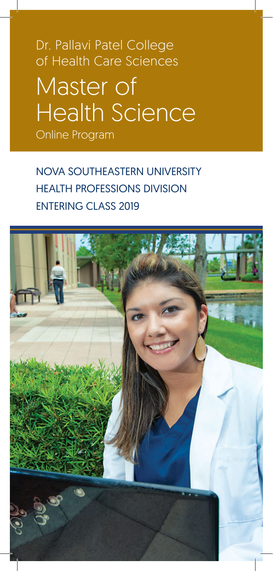Master of Health Science Dr. Pallavi Patel College of Health Care Sciences Online Program

NOVA SOUTHEASTERN UNIVERSITY HEALTH PROFESSIONS DIVISION ENTERING CLASS 2019

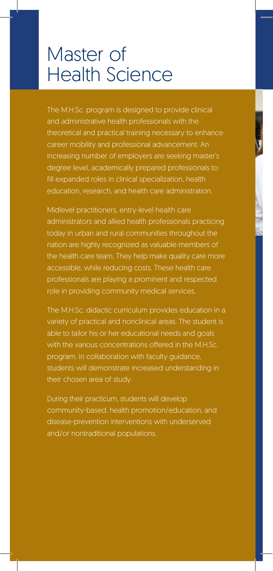### Master of Health Science

The M.H.Sc. program is designed to provide clinical and administrative health professionals with the theoretical and practical training necessary to enhance career mobility and professional advancement. An increasing number of employers are seeking master's degree level, academically prepared professionals to fill expanded roles in clinical specialization, health education, research, and health care administration.

Midlevel practitioners, entry-level health care administrators and allied health professionals practicing today in urban and rural communities throughout the nation are highly recognized as valuable members of the health care team. They help make quality care more accessible, while reducing costs. These health care professionals are playing a prominent and respected role in providing community medical services.

The M.H.Sc. didactic curriculum provides education in a variety of practical and nonclinical areas. The student is able to tailor his or her educational needs and goals with the various concentrations offered in the M.H.Sc. program. In collaboration with faculty guidance, students will demonstrate increased understanding in their chosen area of study.

During their practicum, students will develop community-based, health promotion/education, and disease-prevention interventions with underserved and/or nontraditional populations.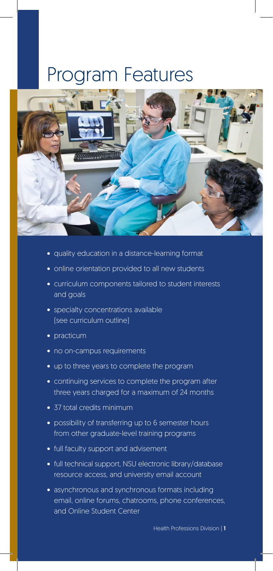### Program Features



- quality education in a distance-learning format
- online orientation provided to all new students
- curriculum components tailored to student interests and goals
- specialty concentrations available (see curriculum outline)
- practicum
- no on-campus requirements
- up to three years to complete the program
- continuing services to complete the program after three years charged for a maximum of 24 months
- 37 total credits minimum
- possibility of transferring up to 6 semester hours from other graduate-level training programs
- full faculty support and advisement
- full technical support, NSU electronic library/database resource access, and university email account
- asynchronous and synchronous formats including email, online forums, chatrooms, phone conferences, and Online Student Center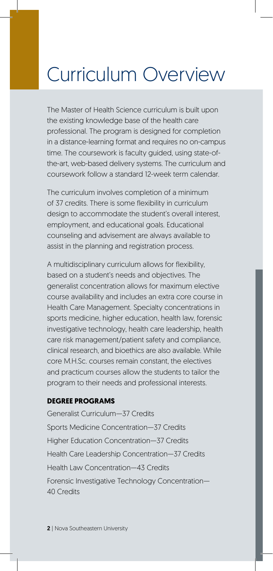# Curriculum Overview

The Master of Health Science curriculum is built upon the existing knowledge base of the health care professional. The program is designed for completion in a distance-learning format and requires no on-campus time. The coursework is faculty guided, using state-ofthe-art, web-based delivery systems. The curriculum and coursework follow a standard 12-week term calendar.

The curriculum involves completion of a minimum of 37 credits. There is some flexibility in curriculum design to accommodate the student's overall interest, employment, and educational goals. Educational counseling and advisement are always available to assist in the planning and registration process.

A multidisciplinary curriculum allows for flexibility, based on a student's needs and objectives. The generalist concentration allows for maximum elective course availability and includes an extra core course in Health Care Management. Specialty concentrations in sports medicine, higher education, health law, forensic investigative technology, health care leadership, health care risk management/patient safety and compliance, clinical research, and bioethics are also available. While core M.H.Sc. courses remain constant, the electives and practicum courses allow the students to tailor the program to their needs and professional interests.

### **DEGREE PROGRAMS**

Generalist Curriculum—37 Credits Sports Medicine Concentration—37 Credits Higher Education Concentration—37 Credits Health Care Leadership Concentration—37 Credits Health Law Concentration—43 Credits Forensic Investigative Technology Concentration— 40 Credits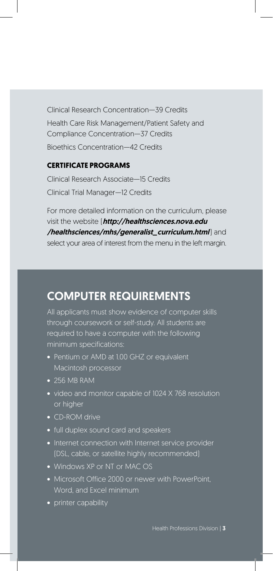Clinical Research Concentration—39 Credits Health Care Risk Management/Patient Safety and Compliance Concentration—37 Credits Bioethics Concentration—42 Credits

### **CERTIFICATE PROGRAMS**

Clinical Research Associate—15 Credits Clinical Trial Manager—12 Credits

For more detailed information on the curriculum, please visit the website (*http://healthsciences.nova.edu* /healthsciences/mhs/generalist\_curriculum.html) and select your area of interest from the menu in the left margin.

### COMPUTER REQUIREMENTS

All applicants must show evidence of computer skills through coursework or self-study. All students are required to have a computer with the following minimum specifications:

- Pentium or AMD at 1.00 GHZ or equivalent Macintosh processor
- 256 MB RAM
- video and monitor capable of 1024 X 768 resolution or higher
- CD-ROM drive
- full duplex sound card and speakers
- Internet connection with Internet service provider (DSL, cable, or satellite highly recommended)
- Windows XP or NT or MAC OS
- Microsoft Office 2000 or newer with PowerPoint, Word, and Excel minimum
- printer capability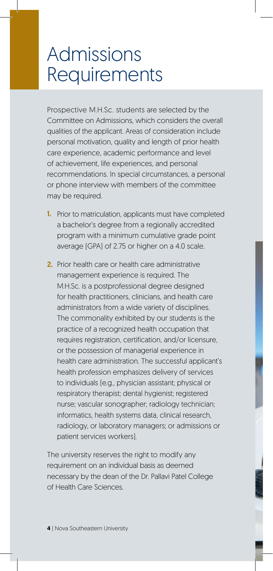## Admissions **Requirements**

Prospective M.H.Sc. students are selected by the Committee on Admissions, which considers the overall qualities of the applicant. Areas of consideration include personal motivation, quality and length of prior health care experience, academic performance and level of achievement, life experiences, and personal recommendations. In special circumstances, a personal or phone interview with members of the committee may be required.

- 1. Prior to matriculation, applicants must have completed a bachelor's degree from a regionally accredited program with a minimum cumulative grade point average (GPA) of 2.75 or higher on a 4.0 scale.
- 2. Prior health care or health care administrative management experience is required. The M.H.Sc. is a postprofessional degree designed for health practitioners, clinicians, and health care administrators from a wide variety of disciplines. The commonality exhibited by our students is the practice of a recognized health occupation that requires registration, certification, and/or licensure, or the possession of managerial experience in health care administration. The successful applicant's health profession emphasizes delivery of services to individuals (e.g., physician assistant; physical or respiratory therapist; dental hygienist; registered nurse; vascular sonographer; radiology technician; informatics, health systems data, clinical research, radiology, or laboratory managers; or admissions or patient services workers).

The university reserves the right to modify any requirement on an individual basis as deemed necessary by the dean of the Dr. Pallavi Patel College of Health Care Sciences.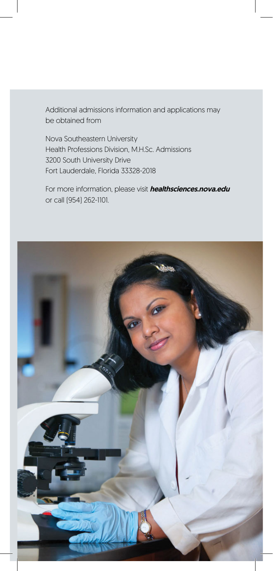Additional admissions information and applications may be obtained from

Nova Southeastern University Health Professions Division, M.H.Sc. Admissions 3200 South University Drive Fort Lauderdale, Florida 33328-2018

For more information, please visit *[healthsciences.nova.edu](http://healthsciences.nova.edu/)* or call (954) 262-1101.

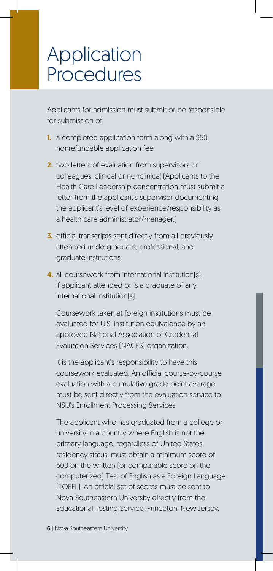## Application **Procedures**

Applicants for admission must submit or be responsible for submission of

- 1. a completed application form along with a \$50, nonrefundable application fee
- 2. two letters of evaluation from supervisors or colleagues, clinical or nonclinical (Applicants to the Health Care Leadership concentration must submit a letter from the applicant's supervisor documenting the applicant's level of experience/responsibility as a health care administrator/manager.)
- 3. official transcripts sent directly from all previously attended undergraduate, professional, and graduate institutions
- 4. all coursework from international institution(s), if applicant attended or is a graduate of any international institution(s)

 Coursework taken at foreign institutions must be evaluated for U.S. institution equivalence by an approved National Association of Credential Evaluation Services (NACES) organization.

 It is the applicant's responsibility to have this coursework evaluated. An official course-by-course evaluation with a cumulative grade point average must be sent directly from the evaluation service to NSU's Enrollment Processing Services.

 The applicant who has graduated from a college or university in a country where English is not the primary language, regardless of United States residency status, must obtain a minimum score of 600 on the written (or comparable score on the computerized) Test of English as a Foreign Language (TOEFL). An official set of scores must be sent to Nova Southeastern University directly from the Educational Testing Service, Princeton, New Jersey.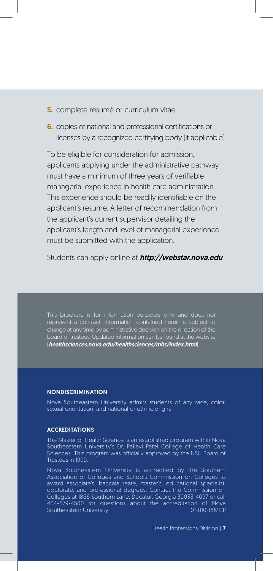- **5.** complete résumé or curriculum vitae
- 6. copies of national and professional certifications or licenses by a recognized certifying body (if applicable)

To be eligible for consideration for admission, applicants applying under the administrative pathway must have a minimum of three years of verifiable managerial experience in health care administration. This experience should be readily identifiable on the applicant's resume. A letter of recommendation from the applicant's current supervisor detailing the applicant's length and level of managerial experience must be submitted with the application.

Students can apply online at **[http://webstar.nova.edu](http://webstar.nova.edu/)**.

change at any time by administrative decision on the direction of the board of trustees. Updated information can be found at the website ([healthsciences.nova.edu/healthsciences/mhs/index.html](http://healthsciences.nova.edu/healthsciences/mhs/index.html)).

#### NONDISCRIMINATION

Nova Southeastern University admits students of any race, color, sexual orientation, and national or ethnic origin.

#### ACCREDITATIONS

The Master of Health Science is an established program within Nova Southeastern University's Dr. Pallavi Patel College of Health Care Sciences. This program was officially approved by the NSU Board of Trustees in 1999.

Nova Southeastern University is accredited by the Southern Association of Colleges and Schools Commission on Colleges to award associate's, baccalaureate, master's, educational specialist, doctorate, and professional degrees. Contact the Commission on Colleges at 1866 Southern Lane, Decatur, Georgia 30033-4097 or call 404-679-4500 for questions about the accreditation of Nova Southeastern University.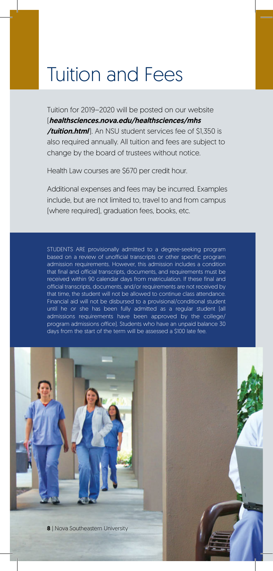# Tuition and Fees

Tuition for 2019–2020 will be posted on our website ([healthsciences.nova.edu/healthsciences/mhs](http://healthsciences.nova.edu/healthsciences/mhs)  /tuition.html]. An NSU student services fee of \$1,350 is also required annually. All tuition and fees are subject to change by the board of trustees without notice.

Health Law courses are \$670 per credit hour.

Additional expenses and fees may be incurred. Examples include, but are not limited to, travel to and from campus (where required), graduation fees, books, etc.

STUDENTS ARE provisionally admitted to a degree-seeking program based on a review of unofficial transcripts or other specific program admission requirements. However, this admission includes a condition that final and official transcripts, documents, and requirements must be received within 90 calendar days from matriculation. If these final and official transcripts, documents, and/or requirements are not received by that time, the student will not be allowed to continue class attendance. Financial aid will not be disbursed to a provisional/conditional student until he or she has been fully admitted as a regular student (all admissions requirements have been approved by the college/ program admissions office). Students who have an unpaid balance 30 days from the start of the term will be assessed a \$100 late fee.

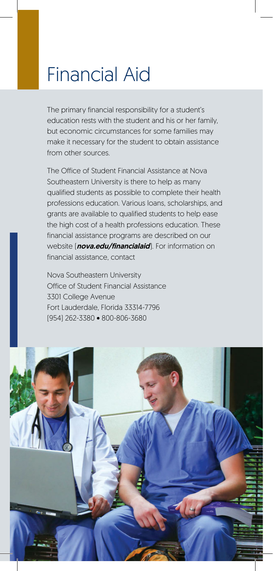# Financial Aid

The primary financial responsibility for a student's education rests with the student and his or her family, but economic circumstances for some families may make it necessary for the student to obtain assistance from other sources.

The Office of Student Financial Assistance at Nova Southeastern University is there to help as many qualified students as possible to complete their health professions education. Various loans, scholarships, and grants are available to qualified students to help ease the high cost of a health professions education. These financial assistance programs are described on our website ([nova.edu/financialaid](http://nova.edu/financialaid)). For information on financial assistance, contact

Nova Southeastern University Office of Student Financial Assistance 3301 College Avenue Fort Lauderdale, Florida 33314-7796 (954) 262-3380 • 800-806-3680